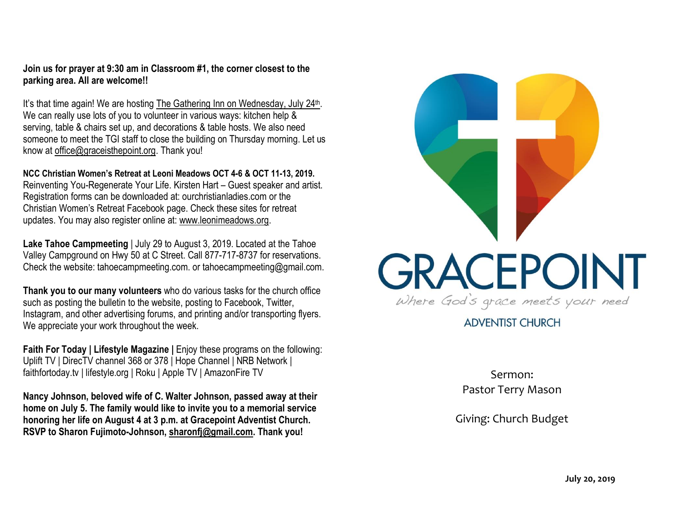**Join us for prayer at 9:30 am in Classroom #1, the corner closest to the parking area. All are welcome!!**

It's that time again! We are hosting The Gathering Inn on Wednesday, July 24<sup>th</sup>. We can really use lots of you to volunteer in various ways: kitchen help & serving, table & chairs set up, and decorations & table hosts. We also need someone to meet the TGI staff to close the building on Thursday morning. Let us know at [office@graceisthepoint.org.](mailto:office@graceisthepoint.org) Thank you!

**NCC Christian Women's Retreat at Leoni Meadows OCT 4-6 & OCT 11-13, 2019.** Reinventing You-Regenerate Your Life. Kirsten Hart – Guest speaker and artist. Registration forms can be downloaded at: ourchristianladies.com or the Christian Women's Retreat Facebook page. Check these sites for retreat updates. You may also register online at: [www.leonimeadows.org.](http://www.leonimeadows.org/)

**Lake Tahoe Campmeeting** | July 29 to August 3, 2019. Located at the Tahoe Valley Campground on Hwy 50 at C Street. Call 877-717-8737 for reservations. Check the website: tahoecampmeeting.com. or tahoecampmeeting@gmail.com.

**Thank you to our many volunteers** who do various tasks for the church office such as posting the bulletin to the website, posting to Facebook, Twitter, Instagram, and other advertising forums, and printing and/or transporting flyers. We appreciate your work throughout the week.

**Faith For Today | Lifestyle Magazine |** Enjoy these programs on the following: Uplift TV | DirecTV channel 368 or 378 | Hope Channel | NRB Network | faithfortoday.tv | lifestyle.org | Roku | Apple TV | AmazonFire TV

**Nancy Johnson, beloved wife of C. Walter Johnson, passed away at their home on July 5. The family would like to invite you to a memorial service honoring her life on August 4 at 3 p.m. at Gracepoint Adventist Church. RSVP to Sharon Fujimoto-Johnson, [sharonfj@gmail.com.](mailto:sharonfj@gmail.com) Thank you!**



**ADVENTIST CHURCH** 

Sermon: Pastor Terry Mason

Giving: Church Budget